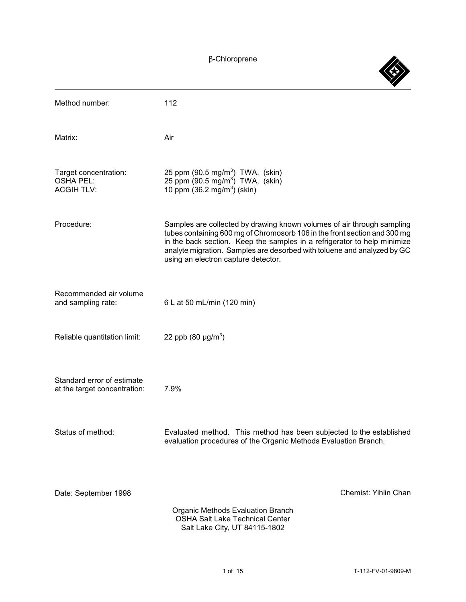â-Chloroprene

| Method number:                                                 | 112                                                                                                                                                                                                                                                                                                                                               |
|----------------------------------------------------------------|---------------------------------------------------------------------------------------------------------------------------------------------------------------------------------------------------------------------------------------------------------------------------------------------------------------------------------------------------|
| Matrix:                                                        | Air                                                                                                                                                                                                                                                                                                                                               |
| Target concentration:<br><b>OSHA PEL:</b><br><b>ACGIH TLV:</b> | 25 ppm $(90.5 \text{ mg/m}^3)$ TWA, $(\text{skin})$<br>25 ppm $(90.5 \text{ mg/m}^3)$ TWA, $(\text{skin})$<br>10 ppm $(36.2 \text{ mg/m}^3)$ (skin)                                                                                                                                                                                               |
| Procedure:                                                     | Samples are collected by drawing known volumes of air through sampling<br>tubes containing 600 mg of Chromosorb 106 in the front section and 300 mg<br>in the back section. Keep the samples in a refrigerator to help minimize<br>analyte migration. Samples are desorbed with toluene and analyzed by GC<br>using an electron capture detector. |
| Recommended air volume<br>and sampling rate:                   | 6 L at 50 mL/min (120 min)                                                                                                                                                                                                                                                                                                                        |
| Reliable quantitation limit:                                   | 22 ppb $(80 \mu g/m^3)$                                                                                                                                                                                                                                                                                                                           |
| Standard error of estimate<br>at the target concentration:     | 7.9%                                                                                                                                                                                                                                                                                                                                              |
| Status of method:                                              | Evaluated method. This method has been subjected to the established<br>evaluation procedures of the Organic Methods Evaluation Branch.                                                                                                                                                                                                            |
| Date: September 1998                                           | Chemist: Yihlin Chan<br>Organic Methods Evaluation Branch<br><b>OSHA Salt Lake Technical Center</b><br>Salt Lake City, UT 84115-1802                                                                                                                                                                                                              |

 $\bigotimes$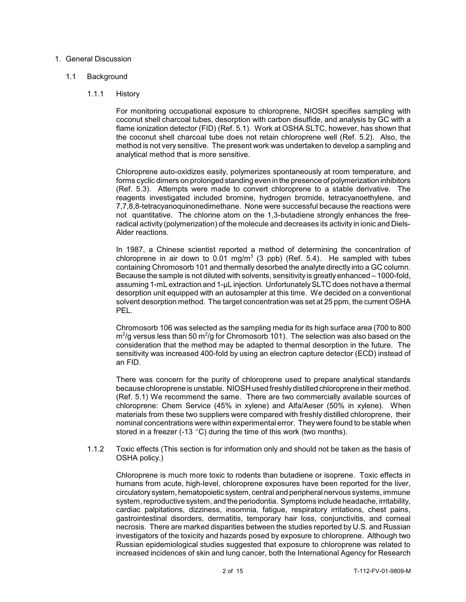# 1. General Discussion

# 1.1 Background

# 1.1.1 History

 coconut shell charcoal tubes, desorption with carbon disulfide, and analysis by GC with a flame ionization detector (FID) (Ref. 5.1). Work at OSHA SLTC, however, has shown that the coconut shell charcoal tube does not retain chloroprene well (Ref. 5.2). Also, the method is not very sensitive. The present work was undertaken to develop a sampling and For monitoring occupational exposure to chloroprene, NIOSH specifies sampling with analytical method that is more sensitive.

 Chloroprene auto-oxidizes easily, polymerizes spontaneously at room temperature, and forms cyclic dimers on prolonged standing even in the presence of polymerization inhibitors (Ref. 5.3). Attempts were made to convert chloroprene to a stable derivative. The not quantitative. The chlorine atom on the 1,3-butadiene strongly enhances the free- radical activity(polymerization) of the molecule and decreases its activity in ionic and Dielsreagents investigated included bromine, hydrogen bromide, tetracyanoethylene, and 7,7,8,8-tetracyanoquinonedimethane. None were successful because the reactions were Alder reactions.

chloroprene in air down to 0.01 mg/m<sup>3</sup> (3 ppb) (Ref. 5.4). He sampled with tubes Because the sample is not diluted with solvents, sensitivityis greatly enhanced – 1000-fold, assuming 1-mL extraction and 1-µL injection. UnfortunatelySLTC does not have a thermal desorption unit equipped with an autosampler at this time. We decided on a conventional In 1987, a Chinese scientist reported a method of determining the concentration of containing Chromosorb 101 and thermally desorbed the analyte directly into a GC column. solvent desorption method. The target concentration was set at 25 ppm, the current OSHA PEL.

 Chromosorb 106 was selected as the sampling media for its high surface area (700 to 800  $m^2$ /g versus less than 50 m<sup>2</sup>/g for Chromosorb 101). The selection was also based on the consideration that the method may be adapted to thermal desorption in the future. The sensitivity was increased 400-fold by using an electron capture detector (ECD) instead of an FID.

 There was concern for the purity of chloroprene used to prepare analytical standards because chloroprene is unstable. NIOSH used freshlydistilled chloroprene in their method. chloroprene: Chem Service (45% in xylene) and Alfa/Aeser (50% in xylene). When materials from these two suppliers were compared with freshly distilled chloroprene, their nominal concentrations were within experimental error. Theywere found to be stable when (Ref. 5.1) We recommend the same. There are two commercially available sources of stored in a freezer (-13  $^{\circ}$ C) during the time of this work (two months).

 1.1.2 Toxic effects (This section is for information only and should not be taken as the basis of OSHA policy.)

 Chloroprene is much more toxic to rodents than butadiene or isoprene. Toxic effects in humans from acute, high-level, chloroprene exposures have been reported for the liver, circulatorysystem, hematopoietic system, central and peripheral nervous systems, immune system, reproductive system, and the periodontia. Symptoms include headache, irritability, cardiac palpitations, dizziness, insomnia, fatigue, respiratory irritations, chest pains, necrosis. There are marked disparities between the studies reported by U.S. and Russian investigators of the toxicity and hazards posed by exposure to chloroprene. Although two Russian epidemiological studies suggested that exposure to chloroprene was related to increased incidences of skin and lung cancer, both the International Agency for Research gastrointestinal disorders, dermatitis, temporary hair loss, conjunctivitis, and corneal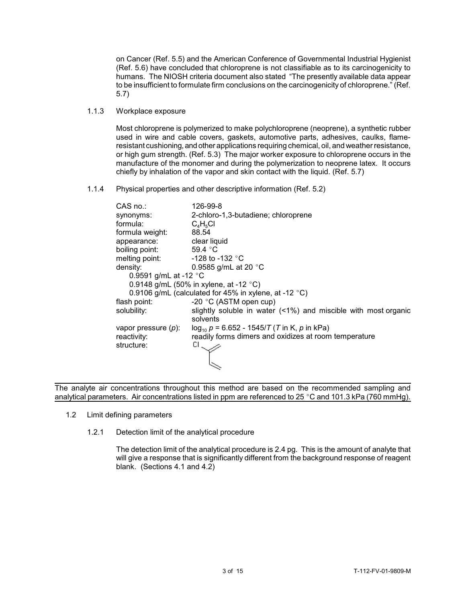on Cancer (Ref. 5.5) and the American Conference of Governmental Industrial Hygienist (Ref. 5.6) have concluded that chloroprene is not classifiable as to its carcinogenicity to humans. The NIOSH criteria document also stated "The presently available data appear to be insufficient to formulate firm conclusions on the carcinogenicity of chloroprene." (Ref. 5.7)

1.1.3 Workplace exposure

 resistant cushioning, and other applications requiring chemical, oil, and weather resistance, Most chloroprene is polymerized to make polychloroprene (neoprene), a synthetic rubber used in wire and cable covers, gaskets, automotive parts, adhesives, caulks, flameor high gum strength. (Ref. 5.3) The major worker exposure to chloroprene occurs in the manufacture of the monomer and during the polymerization to neoprene latex. It occurs chiefly by inhalation of the vapor and skin contact with the liquid. (Ref. 5.7)

1.1.4 Physical properties and other descriptive information (Ref. 5.2)

| CAS no.:                        | 126-99-8                                                          |
|---------------------------------|-------------------------------------------------------------------|
| synonyms:                       | 2-chloro-1,3-butadiene; chloroprene                               |
| formula:                        | $C_4H_5Cl$                                                        |
| formula weight:                 | 88.54                                                             |
| appearance:                     | clear liquid                                                      |
| boiling point:                  | 59.4 °C                                                           |
| melting point:                  | -128 to -132 $^{\circ}{\rm C}$                                    |
| density:                        | 0.9585 g/mL at 20 $^{\circ}$ C                                    |
| 0.9591 g/mL at -12 $^{\circ}$ C |                                                                   |
|                                 | 0.9148 g/mL (50% in xylene, at -12 $^{\circ}$ C)                  |
|                                 | 0.9106 g/mL (calculated for 45% in xylene, at -12 $^{\circ}$ C)   |
| flash point:                    | -20 °C (ASTM open cup)                                            |
| solubility:                     | slightly soluble in water $($ <1%) and miscible with most organic |
|                                 | solvents                                                          |
| vapor pressure $(p)$ :          | $log_{10} p = 6.652 - 1545/T$ (T in K, p in kPa)                  |
| reactivity:                     | readily forms dimers and oxidizes at room temperature             |
| structure:                      | CL.                                                               |
|                                 |                                                                   |
|                                 |                                                                   |
|                                 |                                                                   |

 The analyte air concentrations throughout this method are based on the recommended sampling and analytical parameters. Air concentrations listed in ppm are referenced to 25 °C and 101.3 kPa (760 mmHg).

- 1.2 Limit defining parameters
	- 1.2.1 Detection limit of the analytical procedure

 The detection limit of the analytical procedure is 2.4 pg. This is the amount of analyte that will give a response that is significantly different from the background response of reagent blank. (Sections 4.1 and 4.2)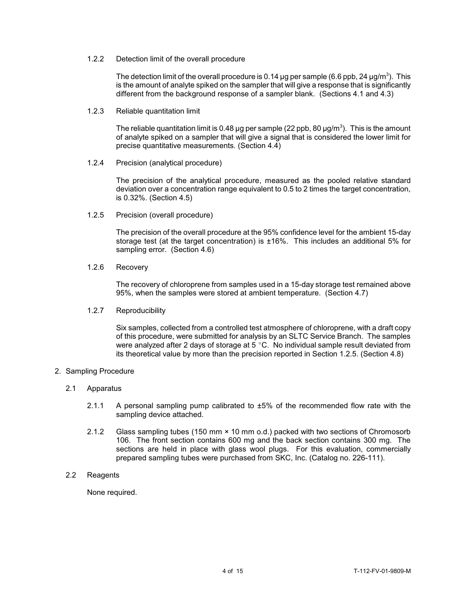# 1.2.2 Detection limit of the overall procedure

The detection limit of the overall procedure is 0.14  $\mu$ g per sample (6.6 ppb, 24  $\mu$ g/m $^3$ ). This is the amount of analyte spiked on the sampler that will give a response that is significantly different from the background response of a sampler blank. (Sections 4.1 and 4.3)

1.2.3 Reliable quantitation limit

The reliable quantitation limit is 0.48 µg per sample (22 ppb, 80  $\mu$ g/m<sup>3</sup>). This is the amount of analyte spiked on a sampler that will give a signal that is considered the lower limit for precise quantitative measurements. (Section 4.4)

1.2.4 Precision (analytical procedure)

The precision of the analytical procedure, measured as the pooled relative standard deviation over a concentration range equivalent to 0.5 to 2 times the target concentration, is 0.32%. (Section 4.5)

1.2.5 Precision (overall procedure)

 The precision of the overall procedure at the 95% confidence level for the ambient 15-day storage test (at the target concentration) is ±16%. This includes an additional 5% for sampling error. (Section 4.6)

1.2.6 Recovery

 The recovery of chloroprene from samples used in a 15-day storage test remained above 95%, when the samples were stored at ambient temperature. (Section 4.7)

### 1.2.7 Reproducibility

 Six samples, collected from a controlled test atmosphere of chloroprene, with a draft copy of this procedure, were submitted for analysis by an SLTC Service Branch. The samples were analyzed after 2 days of storage at 5  $^{\circ}$ C. No individual sample result deviated from its theoretical value by more than the precision reported in Section 1.2.5. (Section 4.8)

## 2. Sampling Procedure

- 2.1 Apparatus
	- 2.1.1 A personal sampling pump calibrated to  $\pm 5\%$  of the recommended flow rate with the sampling device attached.
	- 2.1.2 Glass sampling tubes (150 mm × 10 mm o.d.) packed with two sections of Chromosorb 106. The front section contains 600 mg and the back section contains 300 mg. The sections are held in place with glass wool plugs. For this evaluation, commercially prepared sampling tubes were purchased from SKC, Inc. (Catalog no. 226-111).
- 2.2 Reagents

None required.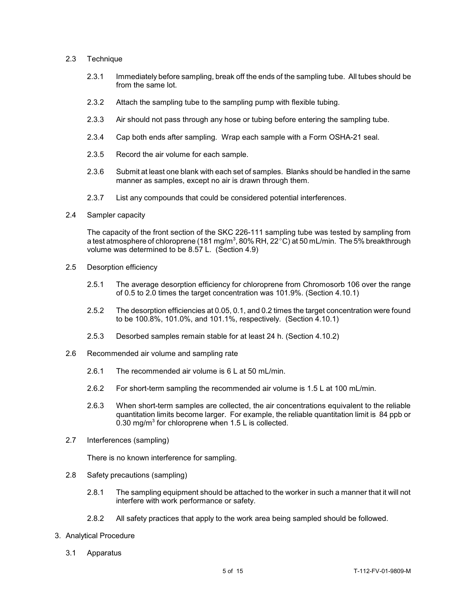## 2.3 Technique

- 2.3.1 Immediately before sampling, break off the ends of the sampling tube. All tubes should be from the same lot.
- 2.3.2 Attach the sampling tube to the sampling pump with flexible tubing.
- 2.3.3 Air should not pass through any hose or tubing before entering the sampling tube.
- 2.3.4 Cap both ends after sampling. Wrap each sample with a Form OSHA-21 seal.
- 2.3.5 Record the air volume for each sample.
- 2.3.6 Submit at least one blank with each set of samples. Blanks should be handled in the same manner as samples, except no air is drawn through them.
- 2.3.7 List any compounds that could be considered potential interferences.
- 2.4 Sampler capacity

The capacity of the front section of the SKC 226-111 sampling tube was tested by sampling from a test atmosphere of chloroprene (181 mg/m $^3$ , 80% RH, 22 $^{\circ}$ C) at 50 mL/min. The 5% breakthrough volume was determined to be 8.57 L. (Section 4.9)

- 2.5 Desorption efficiency
	- 2.5.1 The average desorption efficiency for chloroprene from Chromosorb 106 over the range of 0.5 to 2.0 times the target concentration was 101.9%. (Section 4.10.1)
	- 2.5.2 The desorption efficiencies at 0.05, 0.1, and 0.2 times the target concentration were found to be 100.8%, 101.0%, and 101.1%, respectively. (Section 4.10.1)
	- 2.5.3 Desorbed samples remain stable for at least 24 h. (Section 4.10.2)
- 2.6 Recommended air volume and sampling rate
	- 2.6.1 The recommended air volume is 6 L at 50 mL/min.
	- 2.6.2 For short-term sampling the recommended air volume is 1.5 L at 100 mL/min.
	- 2.6.3 When short-term samples are collected, the air concentrations equivalent to the reliable quantitation limits become larger. For example, the reliable quantitation limit is 84 ppb or 0.30 mg/m<sup>3</sup> for chloroprene when 1.5 L is collected.
- 2.7 Interferences (sampling)

There is no known interference for sampling.

- 2.8 Safety precautions (sampling)
	- 2.8.1 The sampling equipment should be attached to the worker in such a manner that it will not interfere with work performance or safety.
	- 2.8.2 All safety practices that apply to the work area being sampled should be followed.
- 3. Analytical Procedure
	- 3.1 Apparatus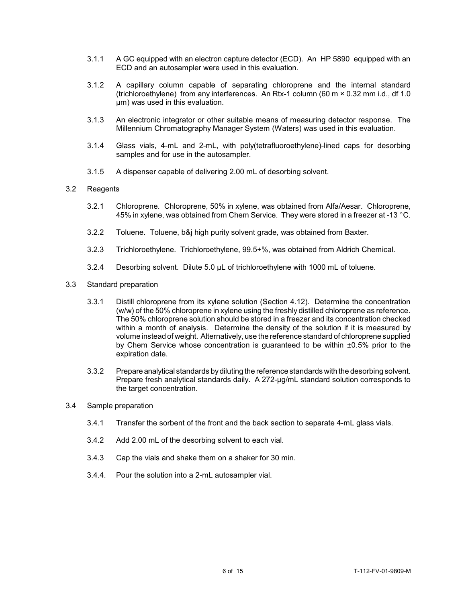- 3.1.1 A GC equipped with an electron capture detector (ECD). An HP 5890 equipped with an ECD and an autosampler were used in this evaluation.
- (trichloroethylene) from any interferences. An Rtx-1 column (60 m × 0.32 mm i.d., df 1.0 3.1.2 A capillary column capable of separating chloroprene and the internal standard µm) was used in this evaluation.
- 3.1.3 An electronic integrator or other suitable means of measuring detector response. The Millennium Chromatography Manager System (Waters) was used in this evaluation.
- 3.1.4 Glass vials, 4-mL and 2-mL, with poly(tetrafluoroethylene)-lined caps for desorbing samples and for use in the autosampler.
- 3.1.5 A dispenser capable of delivering 2.00 mL of desorbing solvent.

# 3.2 Reagents

- 45% in xylene, was obtained from Chem Service. They were stored in a freezer at -13  $^{\circ}$ C. 3.2.1 Chloroprene. Chloroprene, 50% in xylene, was obtained from Alfa/Aesar. Chloroprene,
- 3.2.2 Toluene. Toluene, b&j high purity solvent grade, was obtained from Baxter.
- 3.2.3 Trichloroethylene. Trichloroethylene, 99.5+%, was obtained from Aldrich Chemical.
- 3.2.4 Desorbing solvent. Dilute 5.0 µL of trichloroethylene with 1000 mL of toluene.
- 3.3 Standard preparation
	- 3.3.1 Distill chloroprene from its xylene solution (Section 4.12). Determine the concentration within a month of analysis. Determine the density of the solution if it is measured by volume instead of weight. Alternatively, use the reference standard of chloroprene supplied by Chem Service whose concentration is guaranteed to be within ±0.5% prior to the (w/w) of the 50% chloroprene in xylene using the freshly distilled chloroprene as reference. The 50% chloroprene solution should be stored in a freezer and its concentration checked expiration date.
	- 3.3.2 Prepare analytical standards bydiluting the reference standards with the desorbing solvent. Prepare fresh analytical standards daily. A 272-µg/mL standard solution corresponds to the target concentration.
- 3.4 Sample preparation
	- 3.4.1 Transfer the sorbent of the front and the back section to separate 4-mL glass vials.
	- 3.4.2 Add 2.00 mL of the desorbing solvent to each vial.
	- 3.4.3 Cap the vials and shake them on a shaker for 30 min.
	- 3.4.4. Pour the solution into a 2-mL autosampler vial.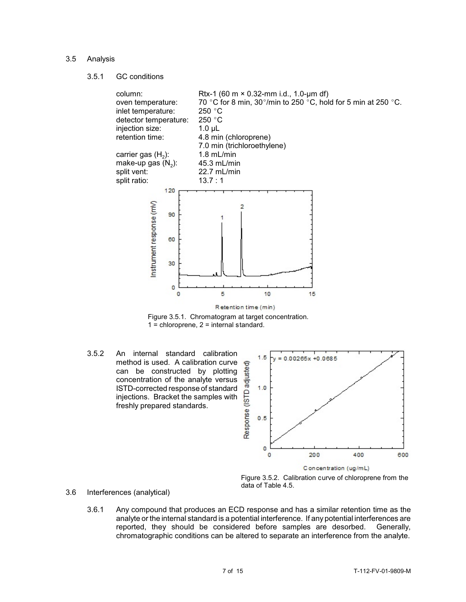## 3.5 Analysis

3.5.1 GC conditions



Figure 3.5.1. Chromatogram at target concentration.  $1 =$  chloroprene,  $2 =$  internal standard.

 method is used. A calibration curve 3.5.2 An internal standard calibration can be constructed by plotting concentration of the analyte versus ISTD-corrected response of standard injections. Bracket the samples with freshly prepared standards.





- 3.6 Interferences (analytical)
	- 3.6.1 Any compound that produces an ECD response and has a similar retention time as the analyte or the internal standard is a potential interference. If any potential interferences are reported, they should be considered before samples are desorbed. Generally, chromatographic conditions can be altered to separate an interference from the analyte.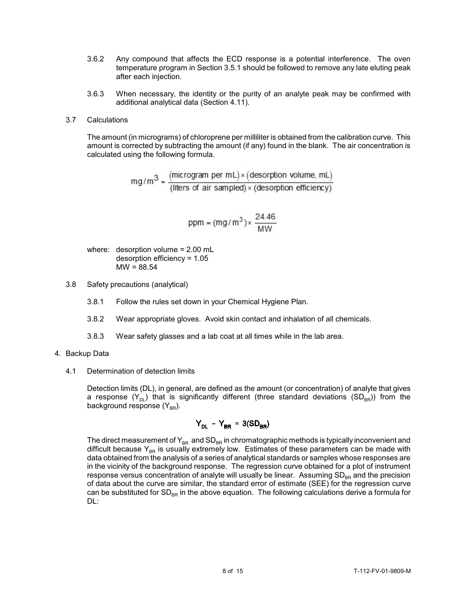- 3.6.2 Any compound that affects the ECD response is a potential interference. The oven temperature program in Section 3.5.1 should be followed to remove any late eluting peak after each injection.
- 3.6.3 When necessary, the identity or the purity of an analyte peak may be confirmed with additional analytical data (Section 4.11).

## 3.7 Calculations

 amount is corrected by subtracting the amount (if any) found in the blank. The air concentration is The amount (in micrograms) of chloroprene per milliliter is obtained from the calibration curve. This calculated using the following formula.

 $mg/m^3 = \frac{(microgram per mL) \times (desorption volume, mL)}{(liters of air sampled) \times (desorption efficiency)}$ 

$$
ppm = (mg/m^3) \times \frac{24.46}{MW}
$$

where: desorption volume = 2.00 mL desorption efficiency = 1.05  $MW = 88.54$ 

- 3.8 Safety precautions (analytical)
	- 3.8.1 Follow the rules set down in your Chemical Hygiene Plan.
	- 3.8.2 Wear appropriate gloves. Avoid skin contact and inhalation of all chemicals.
	- 3.8.3 Wear safety glasses and a lab coat at all times while in the lab area.
- 4. Backup Data
	- 4.1 Determination of detection limits

Detection limits (DL), in general, are defined as the amount (or concentration) of analyte that gives a response  $(Y_{DL})$  that is significantly different (three standard deviations  $(SD_{BR})$ ) from the background response  $(Y_{BR})$ .

$$
Y_{DL} - Y_{BR} = 3(SD_{BR})
$$

 data obtained from the analysis of a series of analytical standards or samples whose responses are in the vicinity of the background response. The regression curve obtained for a plot of instrument response versus concentration of analyte will usually be linear.  $\,$  Assuming SD $_{\texttt{BR}}$  and the precision The direct measurement of  $\mathsf{Y}_{\text{\tiny BR}}$  and  $\mathsf{SD}_{\text{\tiny BR}}$  in chromatographic methods is typically inconvenient and difficult because  $\mathsf{Y}_\mathsf{BR}$  is usually extremely low. Estimates of these parameters can be made with of data about the curve are similar, the standard error of estimate (SEE) for the regression curve can be substituted for  $SD_{BR}$  in the above equation. The following calculations derive a formula for DL: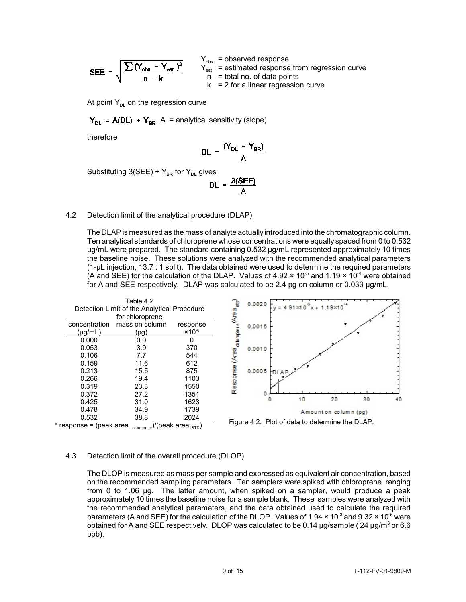$$
\text{SEE} = \sqrt{\frac{\sum (Y_{\text{obs}} - Y_{\text{est}})^2}{n - k}} \qquad \begin{array}{c} Y_{\text{obs}} = Y_{\text{est}} \\ Y_{\text{est}} = Y_{\text{est}} \\ 0 = Y_{\text{est}} \end{array}
$$

 $Y_{obs}$  = observed response = estimated response from regression curve = total no. of data points  $= 2$  for a linear regression curve

At point  $Y_{DL}$  on the regression curve

 $Y_{DL}$  = A(DL) +  $Y_{BR}$  A = analytical sensitivity (slope)

therefore

$$
DL = \frac{(Y_{DL} - Y_{BR})}{A}
$$

Substituting  $3(SEE) + Y_{BR}$  for Y<sub>DL</sub> gives

$$
DL = \frac{3(SEE)}{A}
$$

## 4.2 Detection limit of the analytical procedure (DLAP)

 The DLAP is measured as the mass of analyte actually introduced into the chromatographic column. Ten analytical standards of chloroprene whose concentrations were equally spaced from 0 to 0.532 (A and SEE) for the calculation of the DLAP. Values of 4.92  $\times$  10<sup>-5</sup> and 1.19  $\times$  10<sup>-4</sup> were obtained µg/mL were prepared. The standard containing 0.532 µg/mL represented approximately 10 times the baseline noise. These solutions were analyzed with the recommended analytical parameters (1-µL injection, 13.7 : 1 split). The data obtained were used to determine the required parameters for A and SEE respectively. DLAP was calculated to be 2.4 pg on column or 0.033  $\mu$ g/mL.



# 4.3 Detection limit of the overall procedure (DLOP)

 The DLOP is measured as mass per sample and expressed as equivalent air concentration, based from 0 to 1.06 µg. The latter amount, when spiked on a sampler, would produce a peak approximately 10 times the baseline noise for a sample blank. These samples were analyzed with parameters (A and SEE) for the calculation of the DLOP. Values of 1.94  $\times$  10<sup>-3</sup> and 9.32  $\times$  10<sup>-5</sup> were obtained for A and SEE respectively. DLOP was calculated to be 0.14  $\mu$ g/sample (24  $\mu$ g/m $^3$  or 6.6 on the recommended sampling parameters. Ten samplers were spiked with chloroprene ranging the recommended analytical parameters, and the data obtained used to calculate the required ppb).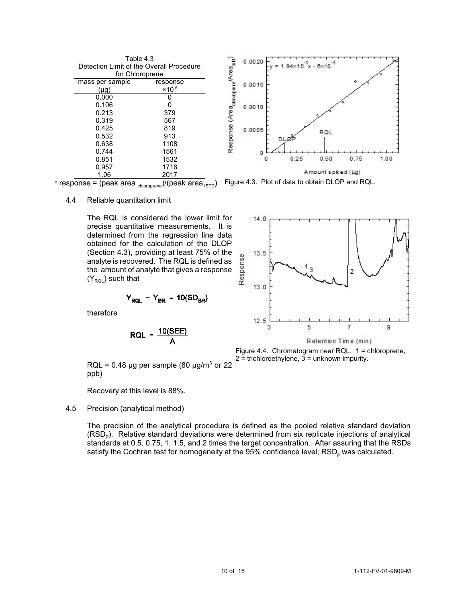| Table 4.3                                |                           |  |  |  |  |
|------------------------------------------|---------------------------|--|--|--|--|
| Detection Limit of the Overall Procedure |                           |  |  |  |  |
| for Chloroprene                          |                           |  |  |  |  |
| mass per sample                          | response                  |  |  |  |  |
| (µg)                                     | $\times$ 10 <sup>-6</sup> |  |  |  |  |
| 0.000                                    |                           |  |  |  |  |
| 0.106                                    | O                         |  |  |  |  |
| 0.213                                    | 379                       |  |  |  |  |
| 0.319                                    | 567                       |  |  |  |  |
| 0.425                                    | 819                       |  |  |  |  |
| 0.532                                    | 913                       |  |  |  |  |
| 0.638                                    | 1108                      |  |  |  |  |
| 0.744                                    | 1561                      |  |  |  |  |
| 0.851                                    | 1532                      |  |  |  |  |
| 0.957                                    | 1716                      |  |  |  |  |
| 1.06                                     | 2017                      |  |  |  |  |



\* response = (peak area  $_{\text{chloroprene}}$ )/(peak area  $_{\text{ISTD}}$ ) Figure 4.3. Plot of data to obtain DLOP and RQL.

4.4 Reliable quantitation limit

 precise quantitative measurements. It is analyte is recovered. The RQL is defined as the amount of analyte that gives a response The RQL is considered the lower limit for determined from the regression line data obtained for the calculation of the DLOP (Section 4.3), providing at least 75% of the  $(Y_{\text{RQL}})$  such that

$$
Y_{RQL} - Y_{BR} = 10(SD_{BR})
$$

therefore

$$
RQL = \frac{10(SEE)}{A}
$$



Figure 4.4. Chromatogram near RQL. 1 = chloroprene,

 $RQL = 0.48 \mu g$  per sample (80  $\mu g/m^3$  or 22  $^2 =$  trichloroethylene, 3 = unknown impurity. ppb)

Recovery at this level is 88%.

## 4.5 Precision (analytical method)

 The precision of the analytical procedure is defined as the pooled relative standard deviation  $(RSD<sub>p</sub>)$ . Relative standard deviations were determined from six replicate injections of analytical standards at 0.5, 0.75, 1, 1.5, and 2 times the target concentration. After assuring that the RSDs satisfy the Cochran test for homogeneity at the 95% confidence level, RSD<sub>n</sub> was calculated.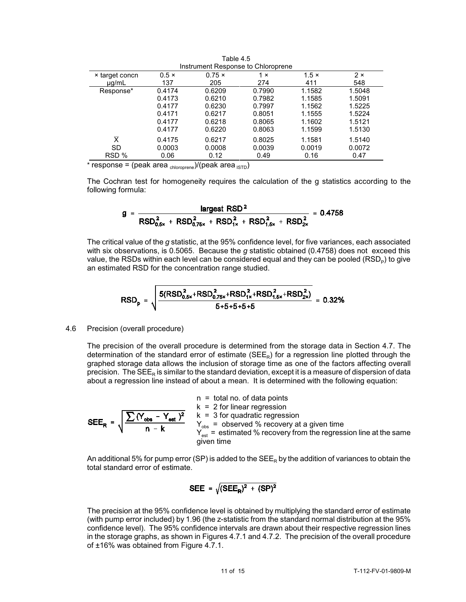| Instrument Response to Chloroprene |              |               |            |              |            |  |  |
|------------------------------------|--------------|---------------|------------|--------------|------------|--|--|
| × target concn                     | $0.5 \times$ | $0.75 \times$ | 1 $\times$ | $1.5 \times$ | $2 \times$ |  |  |
| $\mu q/mL$                         | 137          | 205           | 274        | 411          | 548        |  |  |
| Response*                          | 0.4174       | 0.6209        | 0.7990     | 1.1582       | 1.5048     |  |  |
|                                    | 0.4173       | 0.6210        | 0.7982     | 1.1585       | 1.5091     |  |  |
|                                    | 0.4177       | 0.6230        | 0.7997     | 1.1562       | 1.5225     |  |  |
|                                    | 0.4171       | 0.6217        | 0.8051     | 1.1555       | 1.5224     |  |  |
|                                    | 0.4177       | 0.6218        | 0.8065     | 1.1602       | 1.5121     |  |  |
|                                    | 0.4177       | 0.6220        | 0.8063     | 1.1599       | 1.5130     |  |  |
| $\overline{\mathsf{x}}$            | 0.4175       | 0.6217        | 0.8025     | 1.1581       | 1.5140     |  |  |
| SD                                 | 0.0003       | 0.0008        | 0.0039     | 0.0019       | 0.0072     |  |  |
| RSD %                              | 0.06         | 0.12          | 0.49       | 0.16         | 0.47       |  |  |

Table 4.5

\* response = (peak area  $_{\text{chlororene}}$ )/(peak area  $_{\text{ISTD}}$ )

 The Cochran test for homogeneity requires the calculation of the g statistics according to the following formula:

$$
g = \frac{\text{largest RSD}^2}{\text{RSD}_{0.5x}^2 + \text{RSD}_{0.75x}^2 + \text{RSD}_{1x}^2 + \text{RSD}_{1.5x}^2 + \text{RSD}_{2x}^2} = 0.4758
$$

 The critical value of the *g* statistic, at the 95% confidence level, for five variances, each associated with six observations, is 0.5065. Because the *g* statistic obtained (0.4758) does not exceed this value, the RSDs within each level can be considered equal and they can be pooled (RSD<sub>P</sub>) to give an estimated RSD for the concentration range studied.

$$
RSD_p = \sqrt{\frac{5(RSD_{0.5x}^2 + RSD_{0.75x}^2 + RSD_{1x}^2 + RSD_{1.5x}^2 + RSD_{2x}^2)}{5 + 5 + 5 + 5 + 5}} = 0.32\%
$$

#### 4.6 Precision (overall procedure)

 The precision of the overall procedure is determined from the storage data in Section 4.7. The graphed storage data allows the inclusion of storage time as one of the factors affecting overall precision. The SEE<sub>R</sub> is similar to the standard deviation, except it is a measure of dispersion of data determination of the standard error of estimate ( $SE<sub>R</sub>$ ) for a regression line plotted through the about a regression line instead of about a mean. It is determined with the following equation:

$$
SEE_R = \sqrt{\frac{\sum (Y_{obs} - Y_{est})^2}{n - k}}
$$
  
\n
$$
E = \sqrt{\frac{\sum (Y_{obs} - Y_{est})^2}{n - k}}
$$
  
\n
$$
Y_{obs} = \text{observed % recovery at a given time}
$$
  
\n
$$
Y_{est} = \text{estimated % recovery from the regression line at the same given time}
$$
  
\n
$$
Y_{sst} = \text{estimated % recovery from the regression line at the same}
$$

An additional 5% for pump error (SP) is added to the SEE<sub>R</sub> by the addition of variances to obtain the total standard error of estimate.

$$
SEE = \sqrt{(SEE_R)^2 + (SP)^2}
$$

 The precision at the 95% confidence level is obtained by multiplying the standard error of estimate (with pump error included) by 1.96 (the z-statistic from the standard normal distribution at the 95% in the storage graphs, as shown in Figures 4.7.1 and 4.7.2. The precision of the overall procedure confidence level). The 95% confidence intervals are drawn about their respective regression lines of ±16% was obtained from Figure 4.7.1.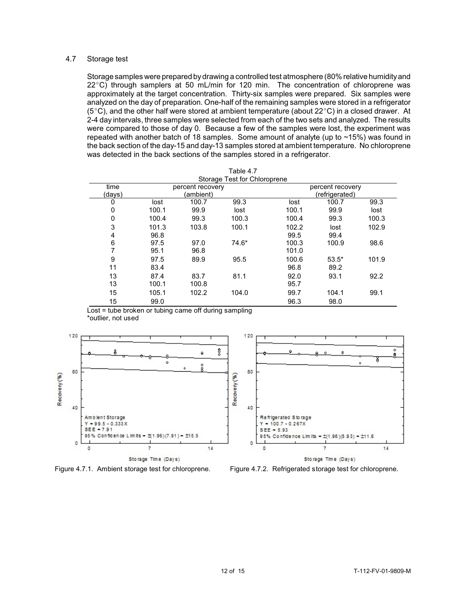# 4.7 Storage test

 $22^{\circ}$ C) through samplers at 50 mL/min for 120 min. The concentration of chloroprene was approximately at the target concentration. Thirty-six samples were prepared. Six samples were analyzed on the day of preparation. One-half of the remaining samples were stored in a refrigerator 2-4 day intervals, three samples were selected from each of the two sets and analyzed. The results were compared to those of day 0. Because a few of the samples were lost, the experiment was the back section of the day-15 and day-13 samples stored at ambient temperature. No chloroprene Storage samples were prepared bydrawing a controlled test atmosphere (80% relative humidityand ( $5^{\circ}$ C), and the other half were stored at ambient temperature (about  $22^{\circ}$ C) in a closed drawer. At repeated with another batch of 18 samples. Some amount of analyte (up to ~15%) was found in was detected in the back sections of the samples stored in a refrigerator.

| 1 aui <del>c 4</del> .7<br>Storage Test for Chloroprene |                               |       |         |       |                                    |       |  |
|---------------------------------------------------------|-------------------------------|-------|---------|-------|------------------------------------|-------|--|
| time<br>(days)                                          | percent recovery<br>(ambient) |       |         |       | percent recovery<br>(refrigerated) |       |  |
| 0                                                       | lost                          | 100.7 | 99.3    | lost  | 100.7                              | 99.3  |  |
| 0                                                       | 100.1                         | 99.9  | lost    | 100.1 | 99.9                               | lost  |  |
| 0                                                       | 100.4                         | 99.3  | 100.3   | 100.4 | 99.3                               | 100.3 |  |
| 3                                                       | 101.3                         | 103.8 | 100.1   | 102.2 | lost                               | 102.9 |  |
| 4                                                       | 96.8                          |       |         | 99.5  | 99.4                               |       |  |
| 6                                                       | 97.5                          | 97.0  | $74.6*$ | 100.3 | 100.9                              | 98.6  |  |
|                                                         | 95.1                          | 96.8  |         | 101.0 |                                    |       |  |
| 9                                                       | 97.5                          | 89.9  | 95.5    | 100.6 | $53.5*$                            | 101.9 |  |
| 11                                                      | 83.4                          |       |         | 96.8  | 89.2                               |       |  |
| 13                                                      | 87.4                          | 83.7  | 81.1    | 92.0  | 93.1                               | 92.2  |  |
| 13                                                      | 100.1                         | 100.8 |         | 95.7  |                                    |       |  |
| 15                                                      | 105.1                         | 102.2 | 104.0   | 99.7  | 104.1                              | 99.1  |  |
| 15                                                      | 99.0                          |       |         | 96.3  | 98.0                               |       |  |

Table 4.7

Lost = tube broken or tubing came off during sampling \*outlier, not used



Figure 4.7.1. Ambient storage test for chloroprene. Figure 4.7.2. Refrigerated storage test for chloroprene.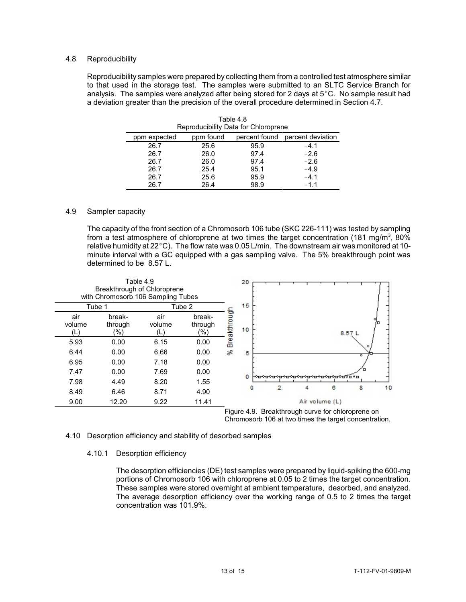# 4.8 Reproducibility

 Reproducibility samples were prepared by collecting them from a controlled test atmosphere similar to that used in the storage test. The samples were submitted to an SLTC Service Branch for analysis. The samples were analyzed after being stored for 2 days at 5°C. No sample result had a deviation greater than the precision of the overall procedure determined in Section 4.7.

| Reproducibility Data for Chloroprene |           |               |                   |  |  |
|--------------------------------------|-----------|---------------|-------------------|--|--|
| ppm expected                         | ppm found | percent found | percent deviation |  |  |
| 26.7                                 | 25.6      | 95.9          | $-4.1$            |  |  |
| 26.7                                 | 26.0      | 97.4          | $-2.6$            |  |  |
| 26.7                                 | 26.0      | 97.4          | $-2.6$            |  |  |
| 26.7                                 | 25.4      | 95.1          | $-4.9$            |  |  |
| 26.7                                 | 25.6      | 95.9          | $-4.1$            |  |  |
| 26.7                                 | 26.4      | 98.9          | $-1.1$            |  |  |

Table 4.8 Reproducibility Data for Chloroprene

#### 4.9 Sampler capacity

 The capacity of the front section of a Chromosorb 106 tube (SKC 226-111) was tested by sampling from a test atmosphere of chloroprene at two times the target concentration (181 mg/m<sup>3</sup>, 80% relative humidity at 22  $^{\circ}$ C). The flow rate was 0.05 L/min. The downstream air was monitored at 10minute interval with a GC equipped with a gas sampling valve. The 5% breakthrough point was determined to be 8.57 L.





#### 4.10 Desorption efficiency and stability of desorbed samples

#### 4.10.1 Desorption efficiency

 The average desorption efficiency over the working range of 0.5 to 2 times the target The desorption efficiencies (DE) test samples were prepared by liquid-spiking the 600-mg portions of Chromosorb 106 with chloroprene at 0.05 to 2 times the target concentration. These samples were stored overnight at ambient temperature, desorbed, and analyzed. concentration was 101.9%.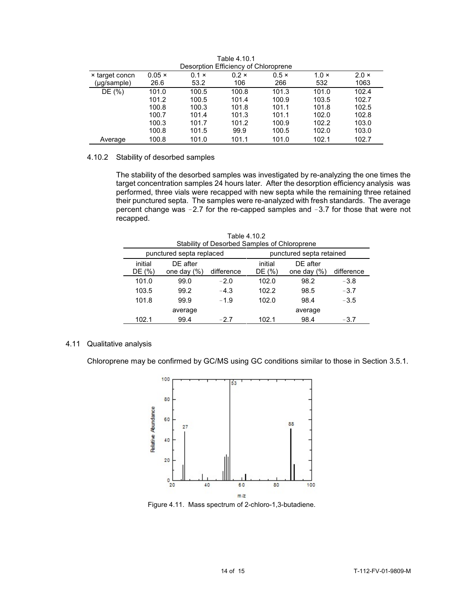| <b>Description Emoldity or Omoropiche</b> |               |              |              |              |              |              |
|-------------------------------------------|---------------|--------------|--------------|--------------|--------------|--------------|
| x target concn                            | $0.05 \times$ | $0.1 \times$ | $0.2 \times$ | $0.5 \times$ | $1.0 \times$ | $2.0 \times$ |
| (µg/sample)                               | 26.6          | 53.2         | 106          | 266          | 532          | 1063         |
| DE (%)                                    | 101.0         | 100.5        | 100.8        | 101.3        | 101.0        | 102.4        |
|                                           | 101.2         | 100.5        | 101.4        | 100.9        | 103.5        | 102.7        |
|                                           | 100.8         | 100.3        | 101.8        | 101.1        | 101.8        | 102.5        |
|                                           | 100.7         | 101.4        | 101.3        | 101.1        | 102.0        | 102.8        |
|                                           | 100.3         | 101.7        | 101.2        | 100.9        | 102.2        | 103.0        |
|                                           | 100.8         | 101.5        | 99.9         | 100.5        | 102.0        | 103.0        |
| Average                                   | 100.8         | 101.0        | 101.1        | 101.0        | 102.1        | 102.7        |

Table 4.10.1 Desorption Efficiency of Chloroprene

## 4.10.2 Stability of desorbed samples

 The stability of the desorbed samples was investigated by re-analyzing the one times the target concentration samples 24 hours later. After the desorption efficiency analysis was their punctured septa. The samples were re-analyzed with fresh standards. The average percent change was  $-2.7$  for the re-capped samples and  $-3.7$  for those that were not performed, three vials were recapped with new septa while the remaining three retained recapped.

| Table 4.10.2<br>Stability of Desorbed Samples of Chloroprene                                                     |         |        |       |         |            |  |  |
|------------------------------------------------------------------------------------------------------------------|---------|--------|-------|---------|------------|--|--|
| punctured septa replaced<br>punctured septa retained                                                             |         |        |       |         |            |  |  |
| initial<br>DE after<br>DE after<br>initial<br>DE (%)<br>DE (%)<br>difference<br>one day $(\%)$<br>one day $(\%)$ |         |        |       |         | difference |  |  |
| 101.0                                                                                                            | 99.0    | $-2.0$ | 102.0 | 98.2    | $-3.8$     |  |  |
| 103.5                                                                                                            | 99.2    | $-4.3$ | 102.2 | 98.5    | $-3.7$     |  |  |
| 101.8                                                                                                            | 99.9    | $-1.9$ | 102.0 | 98.4    | $-3.5$     |  |  |
|                                                                                                                  | average |        |       | average |            |  |  |
| 102.1                                                                                                            | 99.4    | $-2.7$ | 102.1 | 98.4    | $-3.7$     |  |  |

# 4.11 Qualitative analysis

Chloroprene may be confirmed by GC/MS using GC conditions similar to those in Section 3.5.1.



Figure 4.11. Mass spectrum of 2-chloro-1,3-butadiene.